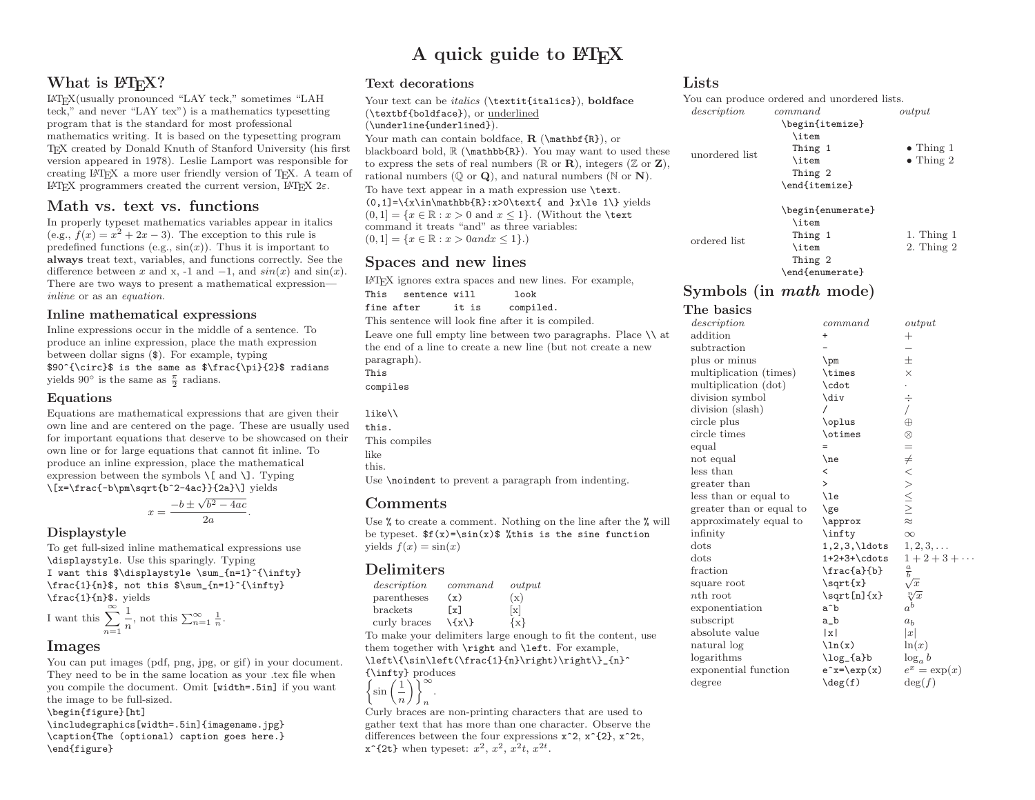## A quick guide to LATEX

## What is LAT<sub>EX</sub>?

 <sup>L</sup><sup>A</sup>TEX(usually pronounced "LAY teck," sometimes "LAH teck," and never "LAY tex") is <sup>a</sup> mathematics typesetting program that is the standard for most professional mathematics writing. It is based on the typesetting program TEX created by Donald Knuth of Stanford University (his first version appeared in 1978). Leslie Lamport was responsible for creating <sup>L</sup><sup>A</sup>TEX <sup>a</sup> more user friendly version of TEX. <sup>A</sup> team of LAT<sub>E</sub>X programmers created the current version, LAT<sub>E</sub>X 2ε.

## Math vs. text vs. functions

In properly typeset mathematics variables appear in italics (e.g.,  $f(x) = x^2 + 2x - 3$ ). The exception to this rule is (e.g.,  $f(x) = x^2 + 2x - 3$ ). The exception to this rule is<br>predefined functions (e.g.,  $\sin(x)$ ). Thus it is important to always treat text, variables, and functions correctly. See the difference between x and x, -1 and -1, and  $sin(x)$  and  $sin(x)$ . There are two ways to present <sup>a</sup> mathematical expressioninline or as an equation.

#### Inline mathematical expressions

Inline expressions occur in the middle of <sup>a</sup> sentence. To produce an inline expression, <sup>p</sup>lace the math expression between dollar signs (\$). For example, typing \$90^{\circ}\$ is the same as \$\frac{\pi}{2}\$ radians yields  $90^{\circ}$  is the same as  $\frac{\pi}{2}$  radians.

### Equations

 Equations are mathematical expressions that are <sup>g</sup>iven their own line and are centered on the page. These are usually used for important equations that deserve to be showcased on their own line or for large equations that cannot fit inline. To produce an inline expression, <sup>p</sup>lace the mathematical expression between the symbols  $\setminus$ [ and  $\setminus$ ]. Typing \[x=\frac{-b\pm\sqrt{b^2-4ac}}{2a}\] <sup>y</sup>ields

$$
x = \frac{-b \pm \sqrt{b^2 - 4ac}}{2a}.
$$

## Displaystyle

 To get full-sized inline mathematical expressions use \displaystyle. Use this sparingly. Typing I want this  $\displaystyle \sum_{n=1}^{\infty}$ \frac{1}{n}\$, not this \$\sum\_{n=1}^{\infty} \frac{1}{n}\$. <sup>y</sup>ields

I want this 
$$
\sum_{n=1}^{\infty} \frac{1}{n}
$$
, not this  $\sum_{n=1}^{\infty} \frac{1}{n}$ .

## Images

 You can put images (pdf, png, jpg, or <sup>g</sup>if) in your document. They need to be in the same location as your .tex file when you compile the document. Omit [width=.5in] if you want the image to be full-sized.

\begin{figure}[ht]

 \includegraphics[width=.5in]{imagename.jpg} \caption{The (optional) caption goes here.} \end{figure}

## Text decorations

Your text can be *italics* (\textit{italics}), boldface (\textbf{boldface}), or underlined (\underline{underlined}).Your math can contain boldface,  $\mathbf{R}$  ( $\mathbf{R}$ ), or<br>blackboard bold  $\mathbb{P}$  ( $\mathbf{R}$ )  $\mathbf{R}$ ) You may want to blackboard bold,  $\mathbb{R}$ . You may want to used these to express the sets of real numbers ( $\mathbb{R}$  or **R**), integers ( $\mathbb{Z}$  or **Z**), rational numbers  $(\mathbb{Q} \text{ or } \mathbf{Q})$ , and natural numbers  $(\mathbb{N} \text{ or } \mathbf{N})$ . To have text appear in <sup>a</sup> math expression use \text.  $(0,1]=\{x\in\mathbb{R}:x\geq0\text{ and }x\leq 1\}$  yields  $(0,1] = \{x \in \mathbb{R} : x > 0 \text{ and } x \leq 1\}.$  (Without the **\text**) command it treats "and" as three variables:  $(0, 1] = \{x \in \mathbb{R} : x > 0 \text{ and } x \leq 1\}.$ 

## Spaces and new lines

 $\LaTeX{}$ ignores extra spaces and new lines. For example, This $\quad$ sentence $\verb|will|$ 

This sentence will look<br>fine after it is compiled. fine after it is compiled.

This sentence will look fine after it is compiled.

Leave one full empty line between two paragraphs. Place  $\setminus \$ at the end of <sup>a</sup> line to create <sup>a</sup> new line (but not create <sup>a</sup> newparagraph).This

compiles

| $like \backslash \backslash$ |
|------------------------------|
| this.                        |
| This compiles                |
| like                         |
| this.                        |

Use \noindent to prevent <sup>a</sup> paragrap<sup>h</sup> from indenting.

## **Comments**

Use  $\%$  to create a comment. Nothing on the line after the  $\%$  will be typeset.  $f(x)=\sin(x)$  % this is the sine function yields  $f(x) = \sin(x)$ 

## Delimiters

| description  | command | output            |
|--------------|---------|-------------------|
| parentheses  | (x)     | (x)               |
| brackets     | [x]     | $\lceil x \rceil$ |
| curly braces | $\{x\}$ | $\{x\}$           |
|              |         |                   |

To make your delimiters large enoug<sup>h</sup> to fit the content, use them together with \right and \left. For example,  $\left\{\sin\left(\frac{1}{n}\right)\right\}_{n}^{\min}$ 

{\infty}{\infty} produces  $\left\{\sin\left(\frac{1}{n}\right)\right\}_{n}^{\infty}$ .

n.

 Curly braces are non-printing characters that are used to gather text that has more than one character. Observe the differences between the four expressions  $x^2$ ,  $x^2$ {2},  $x^2$ t,  $\mathbf{x}^2$ {2t} when typeset:  $x^2$ ,  $x^2$ ,  $x^2t$ ,  $x^{2t}$ .

## Lists

|                | You can produce ordered and unordered lists. |                   |
|----------------|----------------------------------------------|-------------------|
| description    | command                                      | output            |
|                | \begin{itemize}                              |                   |
|                | \item                                        |                   |
| unordered list | Thing 1                                      | $\bullet$ Thing 1 |
|                | \item                                        | $\bullet$ Thing 2 |
|                | Thing 2                                      |                   |
|                | \end{itemize}                                |                   |
|                | \begin{enumerate}                            |                   |
|                | \item                                        |                   |
| ordered list   | Thing 1                                      | 1. Thing $1$      |
|                | \item                                        | $2.$ Thing $2$    |
|                | Thing 2                                      |                   |
|                | \end{enumerate}                              |                   |

# ${\rm Symbols\,\, (in\,\, math\,\, mode)}$

#### The basics description command output

|                          |                          | o wop wo                               |
|--------------------------|--------------------------|----------------------------------------|
| addition                 | +                        | $\hspace{0.1mm} +$                     |
| subtraction              |                          |                                        |
| plus or minus            | $\pm$                    | 士                                      |
| multiplication (times)   | \times                   | $\times$                               |
| multiplication (dot)     | \cdot                    |                                        |
| division symbol          | \div                     | ÷                                      |
| division (slash)         |                          |                                        |
| circle plus              | \oplus                   | $\oplus$                               |
| circle times             | \otimes                  | $\otimes$                              |
| equal                    | $=$                      | $=$                                    |
| not equal                | $\lambda$ ne             |                                        |
| less than                | $\overline{\phantom{0}}$ |                                        |
| greater than             | >                        |                                        |
| less than or equal to    | \le                      | $\neq$ $<$ $>$ $\leq$ $\geq$ $\approx$ |
| greater than or equal to | \ge                      |                                        |
| approximately equal to   | \approx                  |                                        |
| infinity                 | \infty                   | $\infty$                               |
| dots                     | $1, 2, 3, \ldots$        | $1, 2, 3, \ldots$                      |
| dots                     | $1+2+3+\cdots$           | $1 + 2 + 3 + \cdots$                   |
| fraction                 | $\frac{a}{b}$            | $\frac{a}{b}$                          |
| square root              | \sqrt{x}                 | $\sqrt{x}$                             |
| $n_{\text{th}}$ root     | $\sqrt{\sqrt{x}}$        | $\sqrt[n]{x}$                          |
| exponentiation           | a^b                      | $a^b$                                  |
| subscript                | a_b                      | a <sub>b</sub>                         |
| absolute value           | x                        | x                                      |
| natural log              | $\ln(x)$                 | ln(x)                                  |
| logarithms               | \log_{a}b                | $\log_a b$                             |
| exponential function     | $e^x=\exp(x)$            | $e^x = \exp(x)$                        |
| degree                   | $\deg(f)$                | $\deg(f)$                              |
|                          |                          |                                        |